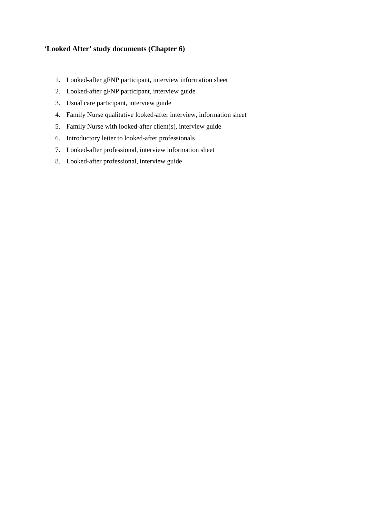#### **'Looked After' study documents (Chapter 6)**

- 1. Looked-after gFNP participant, interview information sheet
- 2. Looked-after gFNP participant, interview guide
- 3. Usual care participant, interview guide
- 4. Family Nurse qualitative looked-after interview, information sheet
- 5. Family Nurse with looked-after client(s), interview guide
- 6. Introductory letter to looked-after professionals
- 7. Looked-after professional, interview information sheet
- 8. Looked-after professional, interview guide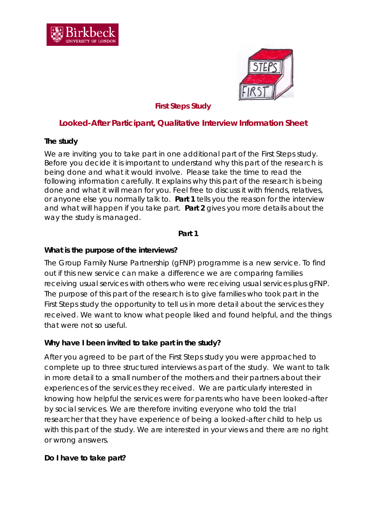



### *First Steps Study*

## **Looked-After Participant, Qualitative Interview Information Sheet**

### **The study**

We are inviting you to take part in one additional part of the First Steps study. Before you decide it is important to understand why this part of the research is being done and what it would involve. Please take the time to read the following information carefully. It explains why this part of the research is being done and what it will mean for you. Feel free to discuss it with friends, relatives, or anyone else you normally talk to. **Part 1** tells you the reason for the interview and what will happen if you take part. **Part 2** gives you more details about the way the study is managed.

### **Part 1**

### **What is the purpose of the interviews?**

The Group Family Nurse Partnership (gFNP) programme is a new service. To find out if this new service can make a difference we are comparing families receiving usual services with others who were receiving usual services plus gFNP. The purpose of this part of the research is to give families who took part in the First Steps study the opportunity to tell us in more detail about the services they received. We want to know what people liked and found helpful, and the things that were not so useful.

### **Why have I been invited to take part in the study?**

After you agreed to be part of the First Steps study you were approached to complete up to three structured interviews as part of the study. We want to talk in more detail to a small number of the mothers and their partners about their experiences of the services they received. We are particularly interested in knowing how helpful the services were for parents who have been looked-after by social services. We are therefore inviting everyone who told the trial researcher that they have experience of being a looked-after child to help us with this part of the study. We are interested in your views and there are no right or wrong answers.

### **Do I have to take part?**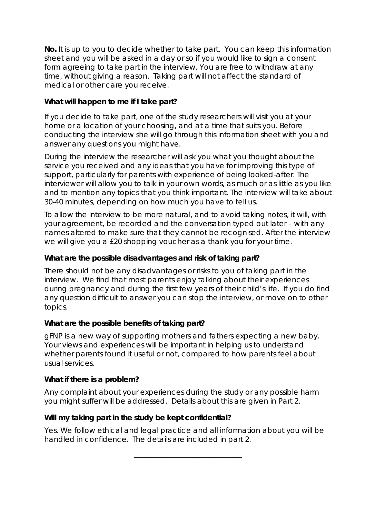**No.** It is up to you to decide whether to take part. You can keep this information sheet and you will be asked in a day or so if you would like to sign a consent form agreeing to take part in the interview. You are free to withdraw at any time, without giving a reason. Taking part will not affect the standard of medical or other care you receive.

## **What will happen to me if I take part?**

If you decide to take part, one of the study researchers will visit you at your home or a location of your choosing, and at a time that suits you. Before conducting the interview she will go through this information sheet with you and answer any questions you might have.

During the interview the researcher will ask you what you thought about the service you received and any ideas that you have for improving this type of support, particularly for parents with experience of being looked-after. The interviewer will allow you to talk in your own words, as much or as little as you like and to mention any topics that you think important. The interview will take about 30-40 minutes, depending on how much you have to tell us.

To allow the interview to be more natural, and to avoid taking notes, it will, with your agreement, be recorded and the conversation typed out later – with any names altered to make sure that they cannot be recognised. After the interview we will give you a £20 shopping voucher as a thank you for your time.

## **What are the possible disadvantages and risk of taking part?**

There should not be any disadvantages or risks to you of taking part in the interview. We find that most parents enjoy talking about their experiences during pregnancy and during the first few years of their child's life. If you do find any question difficult to answer you can stop the interview, or move on to other topics.

## **What are the possible benefits of taking part?**

gFNP is a new way of supporting mothers and fathers expecting a new baby. Your views and experiences will be important in helping us to understand whether parents found it useful or not, compared to how parents feel about usual services.

## **What if there is a problem?**

Any complaint about your experiences during the study or any possible harm you might suffer will be addressed. Details about this are given in Part 2.

## **Will my taking part in the study be kept confidential?**

Yes. We follow ethical and legal practice and all information about you will be handled in confidence. The details are included in part 2.

\_\_\_\_\_\_\_\_\_\_\_\_\_\_\_\_\_\_\_\_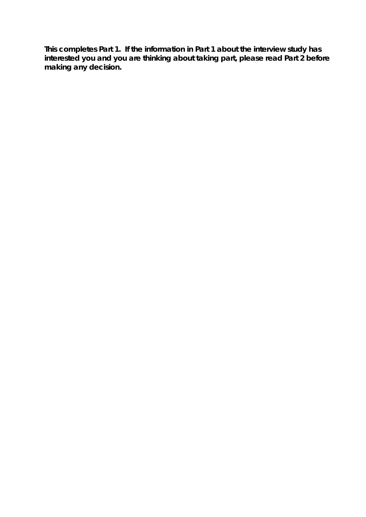**This completes Part 1. If the information in Part 1 about the interview study has interested you and you are thinking about taking part, please read Part 2 before making any decision.**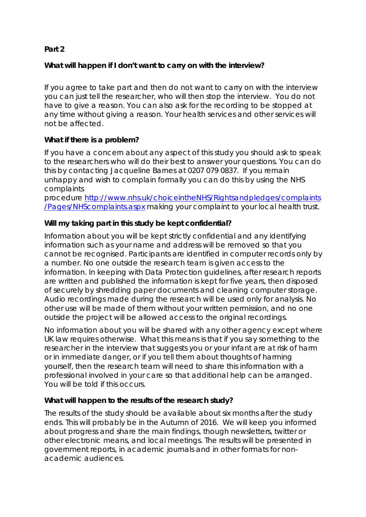### **Part 2**

### **What will happen if I don't want to carry on with the interview?**

If you agree to take part and then do not want to carry on with the interview you can just tell the researcher, who will then stop the interview. You do not have to give a reason. You can also ask for the recording to be stopped at any time without giving a reason. Your health services and other services will not be affected.

### **What if there is a problem?**

If you have a concern about any aspect of this study you should ask to speak to the researchers who will do their best to answer your questions. You can do this by contacting Jacqueline Barnes at 0207 079 0837. If you remain unhappy and wish to complain formally you can do this by using the NHS complaints

procedure [http://www.nhs.uk/choiceintheNHS/Rightsandpledges/complaints](http://www.nhs.uk/choiceintheNHS/Rightsandpledges/complaints/Pages/NHScomplaints.aspx) [/Pages/NHScomplaints.aspx](http://www.nhs.uk/choiceintheNHS/Rightsandpledges/complaints/Pages/NHScomplaints.aspx) making your complaint to your local health trust.

## **Will my taking part in this study be kept confidential?**

Information about you will be kept strictly confidential and any identifying information such as your name and address will be removed so that you cannot be recognised. Participants are identified in computer records only by a number. No one outside the research team is given access to the information. In keeping with Data Protection guidelines, after research reports are written and published the information is kept for five years, then disposed of securely by shredding paper documents and cleaning computer storage. Audio recordings made during the research will be used only for analysis. No other use will be made of them without your written permission, and no one outside the project will be allowed access to the original recordings.

No information about you will be shared with any other agency except where UK law requires otherwise. What this means is that if you say something to the researcher in the interview that suggests you or your infant are at risk of harm or in immediate danger, or if you tell them about thoughts of harming yourself, then the research team will need to share this information with a professional involved in your care so that additional help can be arranged. You will be told if this occurs.

### **What will happen to the results of the research study?**

The results of the study should be available about six months after the study ends. This will probably be in the Autumn of 2016. We will keep you informed about progress and share the main findings, though newsletters, twitter or other electronic means, and local meetings. The results will be presented in government reports, in academic journals and in other formats for nonacademic audiences.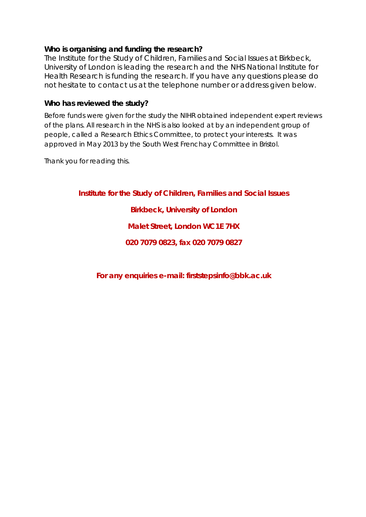### **Who is organising and funding the research?**

The Institute for the Study of Children, Families and Social Issues at Birkbeck, University of London is leading the research and the NHS National Institute for Health Research is funding the research. If you have any questions please do not hesitate to contact us at the telephone number or address given below.

#### **Who has reviewed the study?**

Before funds were given for the study the NIHR obtained independent expert reviews of the plans. All research in the NHS is also looked at by an independent group of people, called a Research Ethics Committee, to protect your interests. It was approved in May 2013 by the South West Frenchay Committee in Bristol.

Thank you for reading this.

**Institute for the Study of Children, Families and Social Issues**

**Birkbeck, University of London**

**Malet Street, London WC1E 7HX**

**020 7079 0823, fax 020 7079 0827**

**For any enquiries e-mail: firststepsinfo@bbk.ac.uk**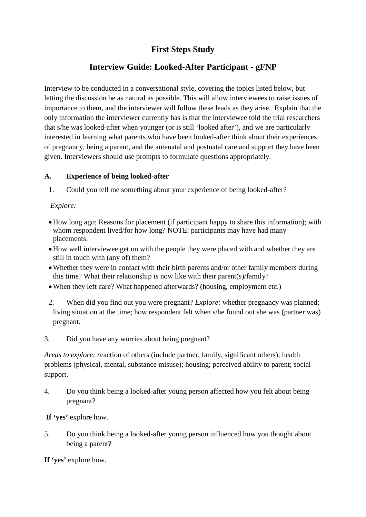## **First Steps Study**

## **Interview Guide: Looked-After Participant - gFNP**

Interview to be conducted in a conversational style, covering the topics listed below, but letting the discussion be as natural as possible. This will allow interviewees to raise issues of importance to them, and the interviewer will follow these leads as they arise. Explain that the only information the interviewer currently has is that the interviewee told the trial researchers that s/he was looked-after when younger (or is still 'looked after'), and we are particularly interested in learning what parents who have been looked-after think about their experiences of pregnancy, being a parent, and the antenatal and postnatal care and support they have been given. Interviewers should use prompts to formulate questions appropriately.

#### **A. Experience of being looked-after**

1. Could you tell me something about your experience of being looked-after?

### *Explore:*

- •How long ago; Reasons for placement (if participant happy to share this information); with whom respondent lived/for how long? NOTE: participants may have had many placements.
- •How well interviewee get on with the people they were placed with and whether they are still in touch with (any of) them?
- Whether they were in contact with their birth parents and/or other family members during this time? What their relationship is now like with their parent(s)/family?
- When they left care? What happened afterwards? (housing, employment etc.)
- 2. When did you find out you were pregnant? *Explore:* whether pregnancy was planned; living situation at the time; how respondent felt when s/he found out she was (partner was) pregnant.
- 3. Did you have any worries about being pregnant?

*Areas to explore: reaction of others (include partner, family, significant others); health* problems (physical, mental, substance misuse); housing; perceived ability to parent; social support.

4. Do you think being a looked-after young person affected how you felt about being pregnant?

**If 'yes'** explore how.

5. Do you think being a looked-after young person influenced how you thought about being a parent?

**If 'yes'** explore how.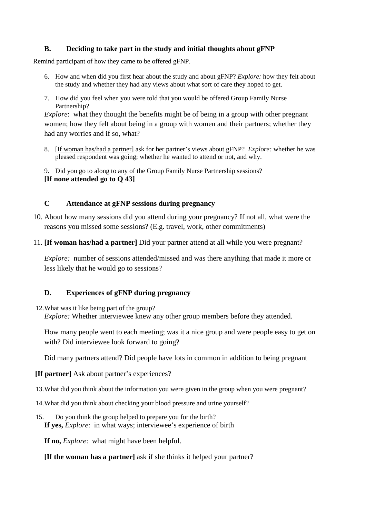#### **B. Deciding to take part in the study and initial thoughts about gFNP**

Remind participant of how they came to be offered gFNP.

- 6. How and when did you first hear about the study and about gFNP? *Explore:* how they felt about the study and whether they had any views about what sort of care they hoped to get.
- 7. How did you feel when you were told that you would be offered Group Family Nurse Partnership?

*Explore*: what they thought the benefits might be of being in a group with other pregnant women; how they felt about being in a group with women and their partners; whether they had any worries and if so, what?

8. [If woman has/had a partner] ask for her partner's views about gFNP? *Explore:* whether he was pleased respondent was going; whether he wanted to attend or not, and why.

9. Did you go to along to any of the Group Family Nurse Partnership sessions? **[If none attended go to Q 43]**

#### **C Attendance at gFNP sessions during pregnancy**

- 10. About how many sessions did you attend during your pregnancy? If not all, what were the reasons you missed some sessions? (E.g. travel, work, other commitments)
- 11. **[If woman has/had a partner]** Did your partner attend at all while you were pregnant?

*Explore:* number of sessions attended/missed and was there anything that made it more or less likely that he would go to sessions?

#### **D. Experiences of gFNP during pregnancy**

12.What was it like being part of the group? *Explore:* Whether interviewee knew any other group members before they attended.

How many people went to each meeting; was it a nice group and were people easy to get on with? Did interviewee look forward to going?

Did many partners attend? Did people have lots in common in addition to being pregnant

#### **[If partner]** Ask about partner's experiences?

- 13.What did you think about the information you were given in the group when you were pregnant?
- 14.What did you think about checking your blood pressure and urine yourself?
- 15. Do you think the group helped to prepare you for the birth? **If yes,** *Explore*: in what ways; interviewee's experience of birth

**If no,** *Explore*: what might have been helpful.

#### **[If the woman has a partner]** ask if she thinks it helped your partner?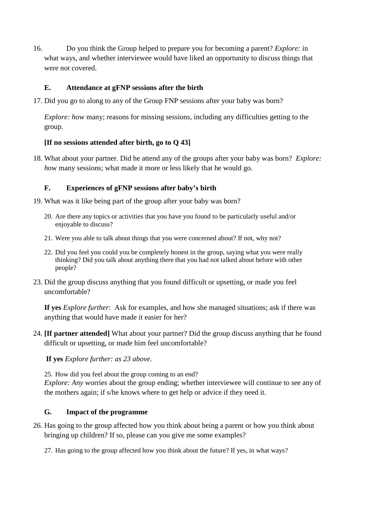16. Do you think the Group helped to prepare you for becoming a parent? *Explore:* in what ways, and whether interviewee would have liked an opportunity to discuss things that were not covered.

### **E. Attendance at gFNP sessions after the birth**

17. Did you go to along to any of the Group FNP sessions after your baby was born?

*Explore: how many; reasons for missing sessions, including any difficulties getting to the* group.

#### **[If no sessions attended after birth, go to Q 43]**

18. What about your partner. Did he attend any of the groups after your baby was born? *Explore: h*ow many sessions; what made it more or less likely that he would go.

### **F. Experiences of gFNP sessions after baby's birth**

- 19. What was it like being part of the group after your baby was born?
	- 20. Are there any topics or activities that you have you found to be particularly useful and/or enjoyable to discuss?
	- 21. Were you able to talk about things that you were concerned about? If not, why not?
	- 22. Did you feel you could you be completely honest in the group, saying what you were really thinking? Did you talk about anything there that you had not talked about before with other people?
- 23. Did the group discuss anything that you found difficult or upsetting, or made you feel uncomfortable?

**If yes** *Explore further*: Ask for examples, and how she managed situations; ask if there was anything that would have made it easier for her?

24. **[If partner attended]** What about your partner? Did the group discuss anything that he found difficult or upsetting, or made him feel uncomfortable?

**If yes** *Explore further: as 23 above.*

25. How did you feel about the group coming to an end? *Explore: Any worries about the group ending; whether interviewee will continue to see any of* the mothers again; if s/he knows where to get help or advice if they need it.

#### **G. Impact of the programme**

26. Has going to the group affected how you think about being a parent or how you think about bringing up children? If so, please can you give me some examples?

27. Has going to the group affected how you think about the future? If yes, in what ways?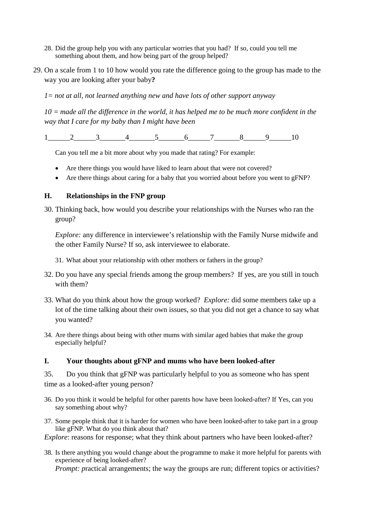- 28. Did the group help you with any particular worries that you had? If so, could you tell me something about them, and how being part of the group helped?
- 29. On a scale from 1 to 10 how would you rate the difference going to the group has made to the way you are looking after your baby**?**

*1= not at all, not learned anything new and have lots of other support anyway*

*10 = made all the difference in the world, it has helped me to be much more confident in the way that I care for my baby than I might have been*

1 2 3 4 5 6 7 8 9 10

Can you tell me a bit more about why you made that rating? For example:

- Are there things you would have liked to learn about that were not covered?
- Are there things about caring for a baby that you worried about before you went to gFNP?

#### **H. Relationships in the FNP group**

30. Thinking back, how would you describe your relationships with the Nurses who ran the group?

*Explore:* any difference in interviewee's relationship with the Family Nurse midwife and the other Family Nurse? If so, ask interviewee to elaborate.

- 31. What about your relationship with other mothers or fathers in the group?
- 32. Do you have any special friends among the group members? If yes, are you still in touch with them?
- 33. What do you think about how the group worked? *Explore:* did some members take up a lot of the time talking about their own issues, so that you did not get a chance to say what you wanted?
- 34. Are there things about being with other mums with similar aged babies that make the group especially helpful?

#### **I. Your thoughts about gFNP and mums who have been looked-after**

35. Do you think that gFNP was particularly helpful to you as someone who has spent time as a looked-after young person?

- 36. Do you think it would be helpful for other parents how have been looked-after? If Yes, can you say something about why?
- 37. Some people think that it is harder for women who have been looked-after to take part in a group like gFNP. What do you think about that?

*Explore:* reasons for response; what they think about partners who have been looked-after?

38. Is there anything you would change about the programme to make it more helpful for parents with experience of being looked-after? *Prompt: practical arrangements; the way the groups are run; different topics or activities?*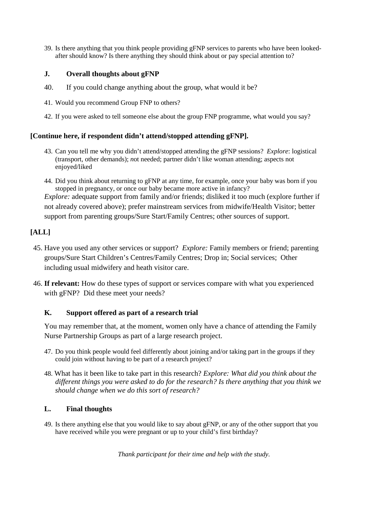39. Is there anything that you think people providing gFNP services to parents who have been lookedafter should know? Is there anything they should think about or pay special attention to?

#### **J. Overall thoughts about gFNP**

- 40. If you could change anything about the group, what would it be?
- 41. Would you recommend Group FNP to others?
- 42. If you were asked to tell someone else about the group FNP programme, what would you say?

#### **[Continue here, if respondent didn't attend/stopped attending gFNP].**

43. Can you tell me why you didn't attend/stopped attending the gFNP sessions? *Explore*: logistical (transport, other demands); *n*ot needed; partner didn't like woman attending; aspects not enjoyed/liked

44. Did you think about returning to gFNP at any time, for example, once your baby was born if you stopped in pregnancy, or once our baby became more active in infancy? *Explore:* adequate support from family and/or friends; disliked it too much (explore further if not already covered above); prefer mainstream services from midwife/Health Visitor; better support from parenting groups/Sure Start/Family Centres; other sources of support.

### **[ALL]**

- 45. Have you used any other services or support? *Explore:* Family members or friend; parenting groups/Sure Start Children's Centres/Family Centres; Drop in; Social services; Other including usual midwifery and heath visitor care.
- 46. **If relevant:** How do these types of support or services compare with what you experienced with gFNP? Did these meet your needs?

#### **K. Support offered as part of a research trial**

You may remember that, at the moment, women only have a chance of attending the Family Nurse Partnership Groups as part of a large research project.

- 47. Do you think people would feel differently about joining and/or taking part in the groups if they could join without having to be part of a research project?
- 48. What has it been like to take part in this research? *Explore: What did you think about the different things you were asked to do for the research? Is there anything that you think we should change when we do this sort of research?*

#### **L. Final thoughts**

49. Is there anything else that you would like to say about gFNP, or any of the other support that you have received while you were pregnant or up to your child's first birthday?

*Thank participant for their time and help with the study.*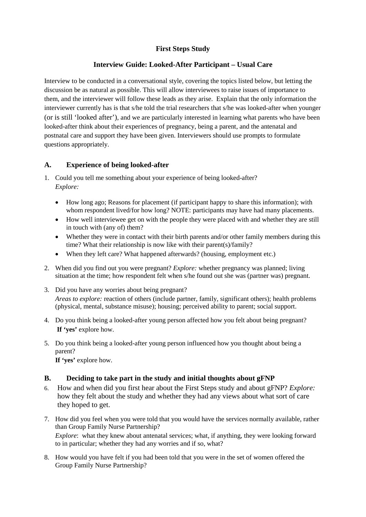### **First Steps Study**

#### **Interview Guide: Looked-After Participant – Usual Care**

Interview to be conducted in a conversational style, covering the topics listed below, but letting the discussion be as natural as possible. This will allow interviewees to raise issues of importance to them, and the interviewer will follow these leads as they arise. Explain that the only information the interviewer currently has is that s/he told the trial researchers that s/he was looked-after when younger (or is still 'looked after'), and we are particularly interested in learning what parents who have been looked-after think about their experiences of pregnancy, being a parent, and the antenatal and postnatal care and support they have been given. Interviewers should use prompts to formulate questions appropriately.

#### **A. Experience of being looked-after**

- 1. Could you tell me something about your experience of being looked-after? *Explore:*
	- How long ago; Reasons for placement (if participant happy to share this information); with whom respondent lived/for how long? NOTE: participants may have had many placements.
	- How well interviewee get on with the people they were placed with and whether they are still in touch with (any of) them?
	- Whether they were in contact with their birth parents and/or other family members during this time? What their relationship is now like with their parent(s)/family?
	- When they left care? What happened afterwards? (housing, employment etc.)
- 2. When did you find out you were pregnant? *Explore:* whether pregnancy was planned; living situation at the time; how respondent felt when s/he found out she was (partner was) pregnant.
- 3. Did you have any worries about being pregnant? *Areas to explore:* reaction of others (include partner, family, significant others); health problems (physical, mental, substance misuse); housing; perceived ability to parent; social support.
- 4. Do you think being a looked-after young person affected how you felt about being pregnant? **If 'yes'** explore how.
- 5. Do you think being a looked-after young person influenced how you thought about being a parent?

**If 'yes'** explore how.

#### **B. Deciding to take part in the study and initial thoughts about gFNP**

- 6. How and when did you first hear about the First Steps study and about gFNP? *Explore:*  how they felt about the study and whether they had any views about what sort of care they hoped to get.
- 7. How did you feel when you were told that you would have the services normally available, rather than Group Family Nurse Partnership? *Explore*: what they knew about antenatal services; what, if anything, they were looking forward to in particular; whether they had any worries and if so, what?
- 8. How would you have felt if you had been told that you were in the set of women offered the Group Family Nurse Partnership?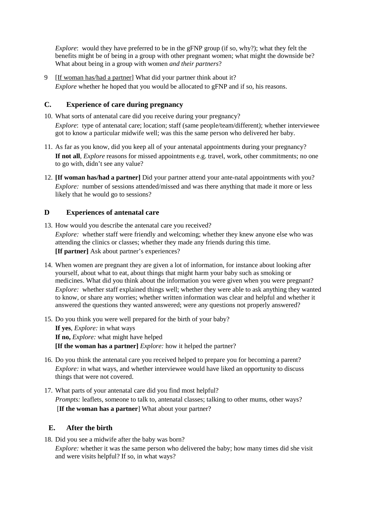*Explore*: would they have preferred to be in the gFNP group (if so, why?); what they felt the benefits might be of being in a group with other pregnant women; what might the downside be? What about being in a group with women *and their partners*?

9 [If woman has/had a partner] What did your partner think about it? *Explore* whether he hoped that you would be allocated to gFNP and if so, his reasons.

#### **C. Experience of care during pregnancy**

- 10. What sorts of antenatal care did you receive during your pregnancy? *Explore*: type of antenatal care; location; staff (same people/team/different); whether interviewee got to know a particular midwife well; was this the same person who delivered her baby.
- 11. As far as you know, did you keep all of your antenatal appointments during your pregnancy? **If not all**, *Explore* reasons for missed appointments e.g. travel, work, other commitments; no one to go with, didn't see any value?
- 12. **[If woman has/had a partner]** Did your partner attend your ante-natal appointments with you? *Explore:* number of sessions attended/missed and was there anything that made it more or less likely that he would go to sessions?

#### **D Experiences of antenatal care**

- 13. How would you describe the antenatal care you received? *Explore:* whether staff were friendly and welcoming; whether they knew anyone else who was attending the clinics or classes; whether they made any friends during this time. **[If partner]** Ask about partner's experiences?
- 14. When women are pregnant they are given a lot of information, for instance about looking after yourself, about what to eat, about things that might harm your baby such as smoking or medicines. What did you think about the information you were given when you were pregnant? *Explore:* whether staff explained things well; whether they were able to ask anything they wanted to know, or share any worries; whether written information was clear and helpful and whether it answered the questions they wanted answered; were any questions not properly answered?
- 15. Do you think you were well prepared for the birth of your baby? **If yes**, *Explore:* in what ways **If no,** *Explore:* what might have helped **[If the woman has a partner]** *Explore:* how it helped the partner?
- 16. Do you think the antenatal care you received helped to prepare you for becoming a parent? *Explore:* in what ways, and whether interviewee would have liked an opportunity to discuss things that were not covered.
- 17. What parts of your antenatal care did you find most helpful? *Prompts: leaflets, someone to talk to, antenatal classes; talking to other mums, other ways?* [**If the woman has a partner**] What about your partner?

#### **E. After the birth**

18. Did you see a midwife after the baby was born?

*Explore:* whether it was the same person who delivered the baby; how many times did she visit and were visits helpful? If so, in what ways?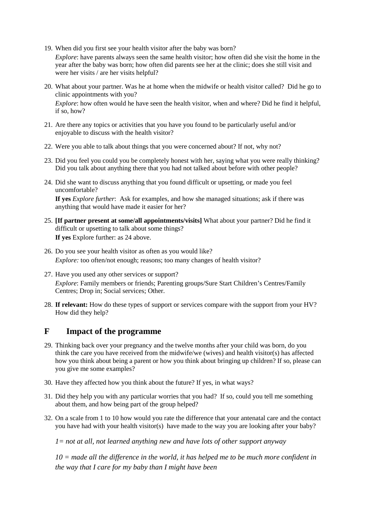19. When did you first see your health visitor after the baby was born?

*Explore*: have parents always seen the same health visitor; how often did she visit the home in the year after the baby was born; how often did parents see her at the clinic; does she still visit and were her visits / are her visits helpful?

- 20. What about your partner. Was he at home when the midwife or health visitor called? Did he go to clinic appointments with you? *Explore*: how often would he have seen the health visitor, when and where? Did he find it helpful, if so, how?
- 21. Are there any topics or activities that you have you found to be particularly useful and/or enjoyable to discuss with the health visitor?
- 22. Were you able to talk about things that you were concerned about? If not, why not?
- 23. Did you feel you could you be completely honest with her, saying what you were really thinking? Did you talk about anything there that you had not talked about before with other people?
- 24. Did she want to discuss anything that you found difficult or upsetting, or made you feel uncomfortable?

**If yes** *Explore further*: Ask for examples, and how she managed situations; ask if there was anything that would have made it easier for her?

- 25. **[If partner present at some/all appointments/visits]** What about your partner? Did he find it difficult or upsetting to talk about some things? **If yes** Explore further: as 24 above.
- 26. Do you see your health visitor as often as you would like? *Explore:* too often/not enough; reasons; too many changes of health visitor?
- 27. Have you used any other services or support? *Explore*: Family members or friends; Parenting groups/Sure Start Children's Centres/Family Centres; Drop in; Social services; Other.
- 28. **If relevant:** How do these types of support or services compare with the support from your HV? How did they help?

### **F Impact of the programme**

- 29. Thinking back over your pregnancy and the twelve months after your child was born, do you think the care you have received from the midwife/we (wives) and health visitor(s) has affected how you think about being a parent or how you think about bringing up children? If so, please can you give me some examples?
- 30. Have they affected how you think about the future? If yes, in what ways?
- 31. Did they help you with any particular worries that you had? If so, could you tell me something about them, and how being part of the group helped?
- 32. On a scale from 1 to 10 how would you rate the difference that your antenatal care and the contact you have had with your health visitor(s) have made to the way you are looking after your baby?

*1= not at all, not learned anything new and have lots of other support anyway*

*10 = made all the difference in the world, it has helped me to be much more confident in the way that I care for my baby than I might have been*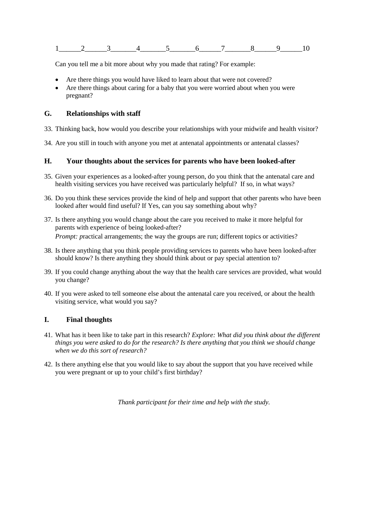|  | __ | __ |  |  |  |
|--|----|----|--|--|--|

Can you tell me a bit more about why you made that rating? For example:

- Are there things you would have liked to learn about that were not covered?
- Are there things about caring for a baby that you were worried about when you were pregnant?

#### **G. Relationships with staff**

- 33. Thinking back, how would you describe your relationships with your midwife and health visitor?
- 34. Are you still in touch with anyone you met at antenatal appointments or antenatal classes?

#### **H. Your thoughts about the services for parents who have been looked-after**

- 35. Given your experiences as a looked-after young person, do you think that the antenatal care and health visiting services you have received was particularly helpful? If so, in what ways?
- 36. Do you think these services provide the kind of help and support that other parents who have been looked after would find useful? If Yes, can you say something about why?
- 37. Is there anything you would change about the care you received to make it more helpful for parents with experience of being looked-after? *Prompt: practical arrangements; the way the groups are run; different topics or activities?*
- 38. Is there anything that you think people providing services to parents who have been looked-after should know? Is there anything they should think about or pay special attention to?
- 39. If you could change anything about the way that the health care services are provided, what would you change?
- 40. If you were asked to tell someone else about the antenatal care you received, or about the health visiting service, what would you say?

#### **I. Final thoughts**

- 41. What has it been like to take part in this research? *Explore: What did you think about the different things you were asked to do for the research? Is there anything that you think we should change when we do this sort of research?*
- 42. Is there anything else that you would like to say about the support that you have received while you were pregnant or up to your child's first birthday?

*Thank participant for their time and help with the study.*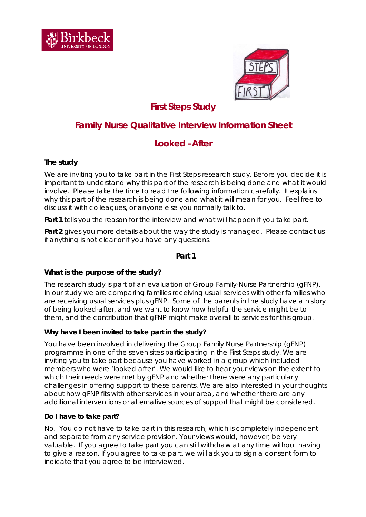



# *First Steps Study*

# **Family Nurse Qualitative Interview Information Sheet**

# **Looked –After**

### **The study**

We are inviting you to take part in the First Steps research study. Before you decide it is important to understand why this part of the research is being done and what it would involve. Please take the time to read the following information carefully. It explains why this part of the research is being done and what it will mean for you. Feel free to discuss it with colleagues, or anyone else you normally talk to.

**Part 1** tells you the reason for the interview and what will happen if you take part.

Part 2 gives you more details about the way the study is managed. Please contact us if anything is not clear or if you have any questions.

#### **Part 1**

### **What is the purpose of the study?**

The research study is part of an evaluation of Group Family-Nurse Partnership (gFNP). In our study we are comparing families receiving usual services with other families who are receiving usual services plus gFNP. Some of the parents in the study have a history of being looked-after, and we want to know how helpful the service might be to them, and the contribution that gFNP might make overall to services for this group.

#### *Why have I been invited to take part in the study?*

You have been involved in delivering the Group Family Nurse Partnership (gFNP) programme in one of the seven sites participating in the First Steps study. We are inviting you to take part because you have worked in a group which included members who were 'looked after'. We would like to hear your views on the extent to which their needs were met by gFNP and whether there were any particularly challenges in offering support to these parents. We are also interested in your thoughts about how gFNP fits with other services in your area, and whether there are any additional interventions or alternative sources of support that might be considered.

### **Do I have to take part?**

No. You do not have to take part in this research, which is completely independent and separate from any service provision. Your views would, however, be very valuable. If you agree to take part you can still withdraw at any time without having to give a reason. If you agree to take part, we will ask you to sign a consent form to indicate that you agree to be interviewed.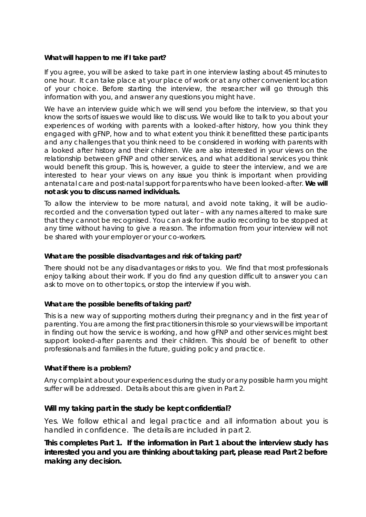#### **What will happen to me if I take part?**

If you agree, you will be asked to take part in one interview lasting about 45 minutes to one hour. It can take place at your place of work or at any other convenient location of your choice. Before starting the interview, the researcher will go through this information with you, and answer any questions you might have.

We have an interview guide which we will send you before the interview, so that you know the sorts of issues we would like to discuss. We would like to talk to you about your experiences of working with parents with a looked-after history, how you think they engaged with gFNP, how and to what extent you think it benefitted these participants and any challenges that you think need to be considered in working with parents with a looked after history and their children. We are also interested in your views on the relationship between gFNP and other services, and what additional services you think would benefit this group. This is, however, a guide to steer the interview, and we are interested to hear your views on any issue you think is important when providing antenatal care and post-natal support for parents who have been looked-after. **We will not ask you to discuss named individuals.**

To allow the interview to be more natural, and avoid note taking, it will be audiorecorded and the conversation typed out later – with any names altered to make sure that they cannot be recognised. You can ask for the audio recording to be stopped at any time without having to give a reason. The information from your interview will not be shared with your employer or your co-workers.

#### **What are the possible disadvantages and risk of taking part?**

There should not be any disadvantages or risks to you. We find that most professionals enjoy talking about their work. If you do find any question difficult to answer you can ask to move on to other topics, or stop the interview if you wish.

#### **What are the possible benefits of taking part?**

This is a new way of supporting mothers during their pregnancy and in the first year of parenting. You are among the first practitioners in this role so your views will be important in finding out how the service is working, and how gFNP and other services might best support looked-after parents and their children. This should be of benefit to other professionals and families in the future, guiding policy and practice.

#### **What if there is a problem?**

Any complaint about your experiences during the study or any possible harm you might suffer will be addressed. Details about this are given in Part 2.

#### **Will my taking part in the study be kept confidential?**

Yes. We follow ethical and legal practice and all information about you is handled in confidence. The details are included in part 2.

**This completes Part 1. If the information in Part 1 about the interview study has interested you and you are thinking about taking part, please read Part 2 before making any decision.**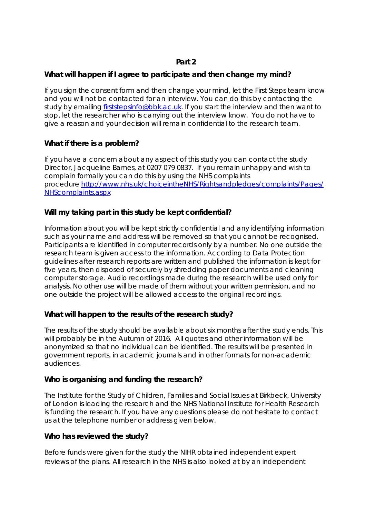### **Part 2**

### **What will happen if I agree to participate and then change my mind?**

If you sign the consent form and then change your mind, let the First Steps team know and you will not be contacted for an interview. You can do this by contacting the study by emailing [firststepsinfo@bbk.ac.uk.](mailto:firststepsinfo@bbk.ac.uk) If you start the interview and then want to stop, let the researcher who is carrying out the interview know. You do not have to give a reason and your decision will remain confidential to the research team.

### **What if there is a problem?**

If you have a concern about any aspect of this study you can contact the study Director, Jacqueline Barnes, at 0207 079 0837. If you remain unhappy and wish to complain formally you can do this by using the NHS complaints procedure [http://www.nhs.uk/choiceintheNHS/Rightsandpledges/complaints/Pages/](http://www.nhs.uk/choiceintheNHS/Rightsandpledges/complaints/Pages/NHScomplaints.aspx) [NHScomplaints.aspx](http://www.nhs.uk/choiceintheNHS/Rightsandpledges/complaints/Pages/NHScomplaints.aspx)

### **Will my taking part in this study be kept confidential?**

Information about you will be kept strictly confidential and any identifying information such as your name and address will be removed so that you cannot be recognised. Participants are identified in computer records only by a number. No one outside the research team is given access to the information. According to Data Protection guidelines after research reports are written and published the information is kept for five years, then disposed of securely by shredding paper documents and cleaning computer storage. Audio recordings made during the research will be used only for analysis. No other use will be made of them without your written permission, and no one outside the project will be allowed access to the original recordings.

### **What will happen to the results of the research study?**

The results of the study should be available about six months after the study ends. This will probably be in the Autumn of 2016. All quotes and other information will be anonymized so that no individual can be identified. The results will be presented in government reports, in academic journals and in other formats for non-academic audiences.

### **Who is organising and funding the research?**

The Institute for the Study of Children, Families and Social Issues at Birkbeck, University of London is leading the research and the NHS National Institute for Health Research is funding the research. If you have any questions please do not hesitate to contact us at the telephone number or address given below.

#### **Who has reviewed the study?**

Before funds were given for the study the NIHR obtained independent expert reviews of the plans. All research in the NHS is also looked at by an independent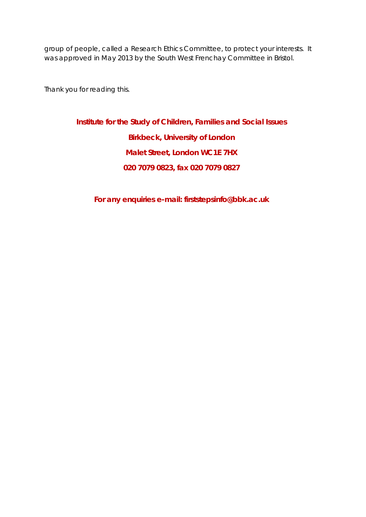group of people, called a Research Ethics Committee, to protect your interests. It was approved in May 2013 by the South West Frenchay Committee in Bristol.

Thank you for reading this.

**Institute for the Study of Children, Families and Social Issues Birkbeck, University of London Malet Street, London WC1E 7HX 020 7079 0823, fax 020 7079 0827**

**For any enquiries e-mail: firststepsinfo@bbk.ac.uk**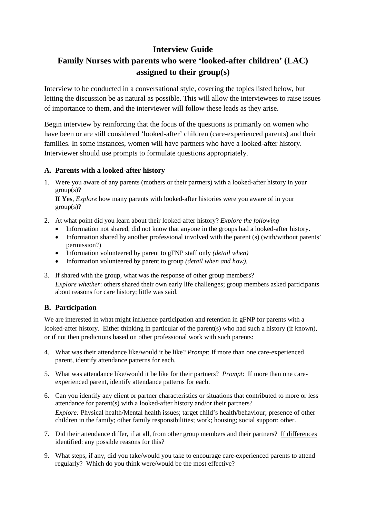## **Interview Guide**

# **Family Nurses with parents who were 'looked-after children' (LAC) assigned to their group(s)**

Interview to be conducted in a conversational style, covering the topics listed below, but letting the discussion be as natural as possible. This will allow the interviewees to raise issues of importance to them, and the interviewer will follow these leads as they arise.

Begin interview by reinforcing that the focus of the questions is primarily on women who have been or are still considered 'looked-after' children (care-experienced parents) and their families. In some instances, women will have partners who have a looked-after history. Interviewer should use prompts to formulate questions appropriately.

#### **A. Parents with a looked-after history**

1. Were you aware of any parents (mothers or their partners) with a looked-after history in your  $group(s)?$ 

**If Yes**, *Explore* how many parents with looked-after histories were you aware of in your  $group(s)?$ 

- 2. At what point did you learn about their looked-after history? *Explore the following*
	- Information not shared, did not know that anyone in the groups had a looked-after history.
	- Information shared by another professional involved with the parent (s) (with/without parents' permission?)
	- Information volunteered by parent to gFNP staff only *(detail when)*
	- Information volunteered by parent to group *(detail when and how).*
- 3. If shared with the group, what was the response of other group members? *Explore whether*: others shared their own early life challenges; group members asked participants about reasons for care history; little was said.

### **B. Participation**

We are interested in what might influence participation and retention in gFNP for parents with a looked-after history. Either thinking in particular of the parent(s) who had such a history (if known), or if not then predictions based on other professional work with such parents:

- 4. What was their attendance like/would it be like? *Prompt*: If more than one care-experienced parent, identify attendance patterns for each.
- 5. What was attendance like/would it be like for their partners? *Prompt*: If more than one careexperienced parent, identify attendance patterns for each.
- 6. Can you identify any client or partner characteristics or situations that contributed to more or less attendance for parent(s) with a looked-after history and/or their partners? *Explore:* Physical health/Mental health issues; target child's health/behaviour; presence of other children in the family; other family responsibilities; work; housing; social support: other.
- 7. Did their attendance differ, if at all, from other group members and their partners? If differences identified: any possible reasons for this?
- 9. What steps, if any, did you take/would you take to encourage care-experienced parents to attend regularly? Which do you think were/would be the most effective?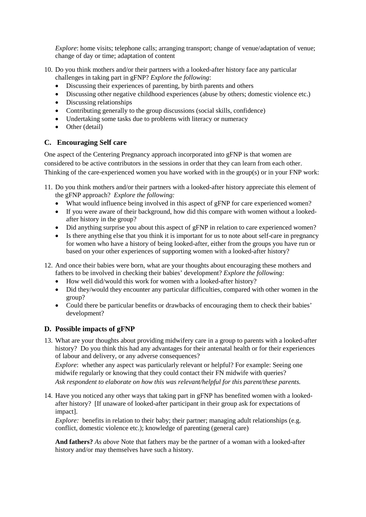*Explore*: home visits; telephone calls; arranging transport; change of venue/adaptation of venue; change of day or time; adaptation of content

- 10. Do you think mothers and/or their partners with a looked-after history face any particular challenges in taking part in gFNP? *Explore the following*:
	- Discussing their experiences of parenting, by birth parents and others
	- Discussing other negative childhood experiences (abuse by others; domestic violence etc.)
	- Discussing relationships
	- Contributing generally to the group discussions (social skills, confidence)
	- Undertaking some tasks due to problems with literacy or numeracy
	- Other (detail)

#### **C. Encouraging Self care**

One aspect of the Centering Pregnancy approach incorporated into gFNP is that women are considered to be active contributors in the sessions in order that they can learn from each other. Thinking of the care-experienced women you have worked with in the group(s) or in your FNP work:

- 11. Do you think mothers and/or their partners with a looked-after history appreciate this element of the gFNP approach? *Explore the following:*
	- What would influence being involved in this aspect of gFNP for care experienced women?
	- If you were aware of their background, how did this compare with women without a lookedafter history in the group?
	- Did anything surprise you about this aspect of gFNP in relation to care experienced women?
	- Is there anything else that you think it is important for us to note about self-care in pregnancy for women who have a history of being looked-after, either from the groups you have run or based on your other experiences of supporting women with a looked-after history?
- 12. And once their babies were born, what are your thoughts about encouraging these mothers and fathers to be involved in checking their babies' development? *Explore the following:*
	- How well did/would this work for women with a looked-after history?
	- Did they/would they encounter any particular difficulties, compared with other women in the group?
	- Could there be particular benefits or drawbacks of encouraging them to check their babies' development?

#### **D. Possible impacts of gFNP**

13. What are your thoughts about providing midwifery care in a group to parents with a looked-after history? Do you think this had any advantages for their antenatal health or for their experiences of labour and delivery, or any adverse consequences?

*Explore*: whether any aspect was particularly relevant or helpful? For example: Seeing one midwife regularly or knowing that they could contact their FN midwife with queries? *Ask respondent to elaborate on how this was relevant/helpful for this parent/these parents.*

14. Have you noticed any other ways that taking part in gFNP has benefited women with a lookedafter history? [If unaware of looked-after participant in their group ask for expectations of impact].

*Explore:* benefits in relation to their baby; their partner; managing adult relationships (e.g. conflict, domestic violence etc.); knowledge of parenting (general care)

**And fathers?** *As above* Note that fathers may be the partner of a woman with a looked-after history and/or may themselves have such a history.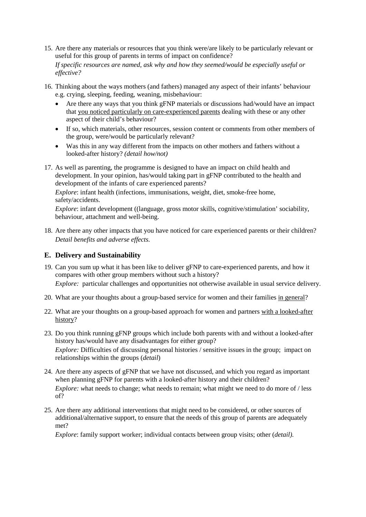15. Are there any materials or resources that you think were/are likely to be particularly relevant or useful for this group of parents in terms of impact on confidence?

*If specific resources are named, ask why and how they seemed/would be especially useful or effective?* 

- 16. Thinking about the ways mothers (and fathers) managed any aspect of their infants' behaviour e.g. crying, sleeping, feeding, weaning, misbehaviour:
	- Are there any ways that you think gFNP materials or discussions had/would have an impact that you noticed particularly on care-experienced parents dealing with these or any other aspect of their child's behaviour?
	- If so, which materials, other resources, session content or comments from other members of the group, were/would be particularly relevant?
	- Was this in any way different from the impacts on other mothers and fathers without a looked-after history? *(detail how/not)*
- 17. As well as parenting, the programme is designed to have an impact on child health and development. In your opinion, has/would taking part in gFNP contributed to the health and development of the infants of care experienced parents?

*Explore*: infant health (infections, immunisations, weight, diet, smoke-free home, safety/accidents.

*Explore*: infant development ((language, gross motor skills, cognitive/stimulation' sociability, behaviour, attachment and well-being.

18. Are there any other impacts that you have noticed for care experienced parents or their children? *Detail benefits and adverse effects.*

#### **E. Delivery and Sustainability**

- 19. Can you sum up what it has been like to deliver gFNP to care-experienced parents, and how it compares with other group members without such a history? *Explore:* particular challenges and opportunities not otherwise available in usual service delivery.
- 20. What are your thoughts about a group-based service for women and their families in general?
- 22. What are your thoughts on a group-based approach for women and partners with a looked-after history?
- 23. Do you think running gFNP groups which include both parents with and without a looked-after history has/would have any disadvantages for either group? *Explore:* Difficulties of discussing personal histories / sensitive issues in the group; impact on relationships within the groups (*detail*)
- 24. Are there any aspects of gFNP that we have not discussed, and which you regard as important when planning gFNP for parents with a looked-after history and their children? *Explore:* what needs to change; what needs to remain; what might we need to do more of / less of?
- 25. Are there any additional interventions that might need to be considered, or other sources of additional/alternative support, to ensure that the needs of this group of parents are adequately met?

*Explore*: family support worker; individual contacts between group visits; other (*detail).*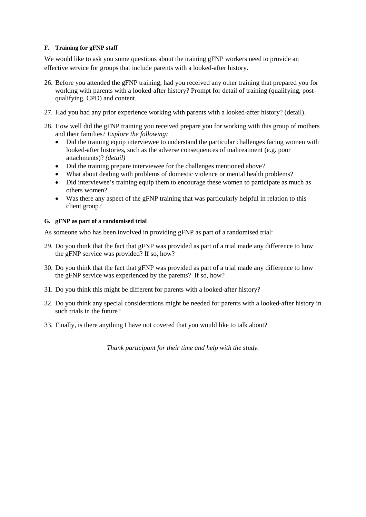#### **F. Training for gFNP staff**

We would like to ask you some questions about the training gFNP workers need to provide an effective service for groups that include parents with a looked-after history.

- 26. Before you attended the gFNP training, had you received any other training that prepared you for working with parents with a looked-after history? Prompt for detail of training (qualifying, postqualifying, CPD) and content.
- 27. Had you had any prior experience working with parents with a looked-after history? (detail).
- 28. How well did the gFNP training you received prepare you for working with this group of mothers and their families? *Explore the following:*
	- Did the training equip interviewee to understand the particular challenges facing women with looked-after histories, such as the adverse consequences of maltreatment (e.g. poor attachments)? *(detail)*
	- Did the training prepare interviewee for the challenges mentioned above?
	- What about dealing with problems of domestic violence or mental health problems?
	- Did interviewee's training equip them to encourage these women to participate as much as others women?
	- Was there any aspect of the gFNP training that was particularly helpful in relation to this client group?

#### **G. gFNP as part of a randomised trial**

As someone who has been involved in providing gFNP as part of a randomised trial:

- 29. Do you think that the fact that gFNP was provided as part of a trial made any difference to how the gFNP service was provided? If so, how?
- 30. Do you think that the fact that gFNP was provided as part of a trial made any difference to how the gFNP service was experienced by the parents? If so, how?
- 31. Do you think this might be different for parents with a looked-after history?
- 32. Do you think any special considerations might be needed for parents with a looked-after history in such trials in the future?
- 33. Finally, is there anything I have not covered that you would like to talk about?

*Thank participant for their time and help with the study.*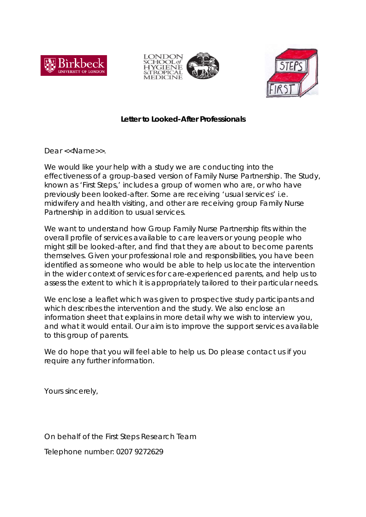





### **Letter to Looked-After Professionals**

Dear <<Name>>.

We would like your help with a study we are conducting into the effectiveness of a group-based version of Family Nurse Partnership. The Study, known as 'First Steps,' includes a group of women who are, or who have previously been looked-after. Some are receiving 'usual services' i.e. midwifery and health visiting, and other are receiving group Family Nurse Partnership in addition to usual services.

We want to understand how Group Family Nurse Partnership fits within the overall profile of services available to care leavers or young people who might still be looked-after, and find that they are about to become parents themselves. Given your professional role and responsibilities, you have been identified as someone who would be able to help us locate the intervention in the wider context of services for care-experienced parents, and help us to assess the extent to which it is appropriately tailored to their particular needs.

We enclose a leaflet which was given to prospective study participants and which describes the intervention and the study. We also enclose an information sheet that explains in more detail why we wish to interview you, and what it would entail. Our aim is to improve the support services available to this group of parents.

We do hope that you will feel able to help us. Do please contact us if you require any further information.

Yours sincerely,

On behalf of the First Steps Research Team

Telephone number: 0207 9272629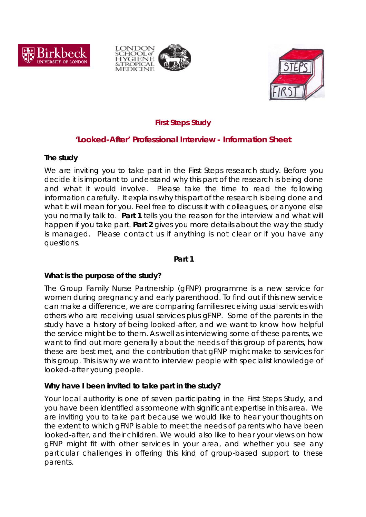





## *First Steps Study*

## **'Looked-After' Professional Interview - Information Sheet**

### **The study**

We are inviting you to take part in the First Steps research study. Before you decide it is important to understand why this part of the research is being done and what it would involve. Please take the time to read the following information carefully. It explains why this part of the research is being done and what it will mean for you. Feel free to discuss it with colleagues, or anyone else you normally talk to. **Part 1** tells you the reason for the interview and what will happen if you take part. **Part 2** gives you more details about the way the study is managed. Please contact us if anything is not clear or if you have any questions.

### **Part 1**

### **What is the purpose of the study?**

The Group Family Nurse Partnership (gFNP) programme is a new service for women during pregnancy and early parenthood. To find out if this new service can make a difference, we are comparing families receiving usual services with others who are receiving usual services plus gFNP. Some of the parents in the study have a history of being looked-after, and we want to know how helpful the service might be to them. As well as interviewing some of these parents, we want to find out more generally about the needs of this group of parents, how these are best met, and the contribution that gFNP might make to services for this group. This is why we want to interview people with specialist knowledge of looked-after young people.

### *Why have I been invited to take part in the study?*

Your local authority is one of seven participating in the First Steps Study, and you have been identified as someone with significant expertise in this area. We are inviting you to take part because we would like to hear your thoughts on the extent to which gFNP is able to meet the needs of parents who have been looked-after, and their children. We would also like to hear your views on how gFNP might fit with other services in your area, and whether you see any particular challenges in offering this kind of group-based support to these parents.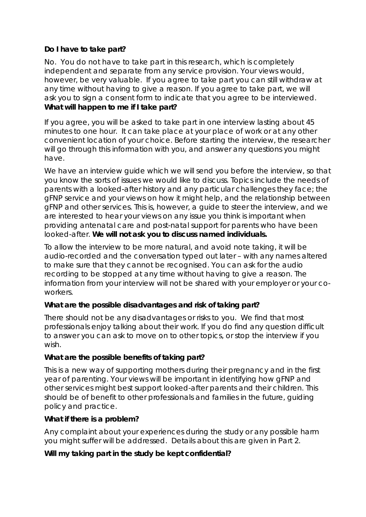## **Do I have to take part?**

No. You do not have to take part in this research, which is completely independent and separate from any service provision. Your views would, however, be very valuable. If you agree to take part you can still withdraw at any time without having to give a reason. If you agree to take part, we will ask you to sign a consent form to indicate that you agree to be interviewed. **What will happen to me if I take part?**

If you agree, you will be asked to take part in one interview lasting about 45 minutes to one hour. It can take place at your place of work or at any other convenient location of your choice. Before starting the interview, the researcher will go through this information with you, and answer any questions you might have.

We have an interview guide which we will send you before the interview, so that you know the sorts of issues we would like to discuss. Topics include the needs of parents with a looked-after history and any particular challenges they face; the gFNP service and your views on how it might help, and the relationship between gFNP and other services. This is, however, a guide to steer the interview, and we are interested to hear your views on any issue you think is important when providing antenatal care and post-natal support for parents who have been looked-after. **We will not ask you to discuss named individuals.**

To allow the interview to be more natural, and avoid note taking, it will be audio-recorded and the conversation typed out later – with any names altered to make sure that they cannot be recognised. You can ask for the audio recording to be stopped at any time without having to give a reason. The information from your interview will not be shared with your employer or your coworkers.

### **What are the possible disadvantages and risk of taking part?**

There should not be any disadvantages or risks to you. We find that most professionals enjoy talking about their work. If you do find any question difficult to answer you can ask to move on to other topics, or stop the interview if you wish.

### **What are the possible benefits of taking part?**

This is a new way of supporting mothers during their pregnancy and in the first year of parenting. Your views will be important in identifying how gFNP and other services might best support looked-after parents and their children. This should be of benefit to other professionals and families in the future, guiding policy and practice.

### **What if there is a problem?**

Any complaint about your experiences during the study or any possible harm you might suffer will be addressed. Details about this are given in Part 2.

### **Will my taking part in the study be kept confidential?**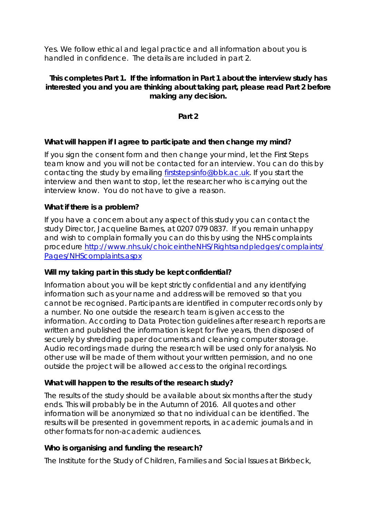Yes. We follow ethical and legal practice and all information about you is handled in confidence. The details are included in part 2.

### **This completes Part 1. If the information in Part 1 about the interview study has interested you and you are thinking about taking part, please read Part 2 before making any decision.**

### **Part 2**

### **What will happen if I agree to participate and then change my mind?**

If you sign the consent form and then change your mind, let the First Steps team know and you will not be contacted for an interview. You can do this by contacting the study by emailing **firststepsinfo@bbk.ac.uk**. If you start the interview and then want to stop, let the researcher who is carrying out the interview know. You do not have to give a reason.

### **What if there is a problem?**

If you have a concern about any aspect of this study you can contact the study Director, Jacqueline Barnes, at 0207 079 0837. If you remain unhappy and wish to complain formally you can do this by using the NHS complaints procedure [http://www.nhs.uk/choiceintheNHS/Rightsandpledges/complaints/](http://www.nhs.uk/choiceintheNHS/Rightsandpledges/complaints/Pages/NHScomplaints.aspx) [Pages/NHScomplaints.aspx](http://www.nhs.uk/choiceintheNHS/Rightsandpledges/complaints/Pages/NHScomplaints.aspx)

### **Will my taking part in this study be kept confidential?**

Information about you will be kept strictly confidential and any identifying information such as your name and address will be removed so that you cannot be recognised. Participants are identified in computer records only by a number. No one outside the research team is given access to the information. According to Data Protection guidelines after research reports are written and published the information is kept for five years, then disposed of securely by shredding paper documents and cleaning computer storage. Audio recordings made during the research will be used only for analysis. No other use will be made of them without your written permission, and no one outside the project will be allowed access to the original recordings.

### **What will happen to the results of the research study?**

The results of the study should be available about six months after the study ends. This will probably be in the Autumn of 2016. All quotes and other information will be anonymized so that no individual can be identified. The results will be presented in government reports, in academic journals and in other formats for non-academic audiences.

### **Who is organising and funding the research?**

The Institute for the Study of Children, Families and Social Issues at Birkbeck,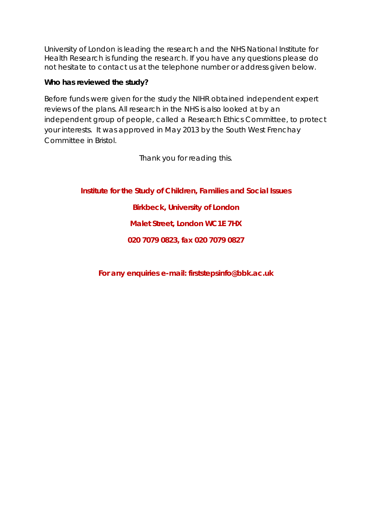University of London is leading the research and the NHS National Institute for Health Research is funding the research. If you have any questions please do not hesitate to contact us at the telephone number or address given below.

## **Who has reviewed the study?**

Before funds were given for the study the NIHR obtained independent expert reviews of the plans. All research in the NHS is also looked at by an independent group of people, called a Research Ethics Committee, to protect your interests. It was approved in May 2013 by the South West Frenchay Committee in Bristol.

Thank you for reading this.

**Institute for the Study of Children, Families and Social Issues**

## **Birkbeck, University of London**

**Malet Street, London WC1E 7HX**

**020 7079 0823, fax 020 7079 0827**

**For any enquiries e-mail: firststepsinfo@bbk.ac.uk**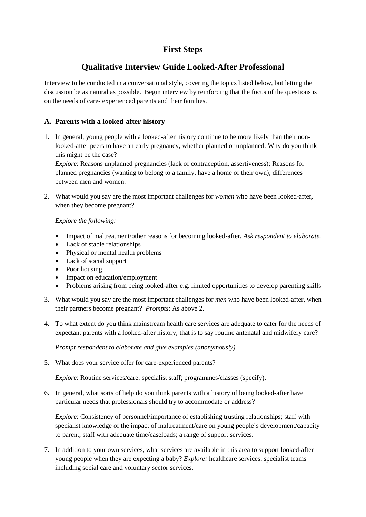## **First Steps**

## **Qualitative Interview Guide Looked-After Professional**

Interview to be conducted in a conversational style, covering the topics listed below, but letting the discussion be as natural as possible. Begin interview by reinforcing that the focus of the questions is on the needs of care- experienced parents and their families.

### **A. Parents with a looked-after history**

1. In general, young people with a looked-after history continue to be more likely than their nonlooked-after peers to have an early pregnancy, whether planned or unplanned. Why do you think this might be the case?

*Explore*: Reasons unplanned pregnancies (lack of contraception, assertiveness); Reasons for planned pregnancies (wanting to belong to a family, have a home of their own); differences between men and women.

2. What would you say are the most important challenges for *women* who have been looked-after, when they become pregnant?

#### *Explore the following:*

- Impact of maltreatment/other reasons for becoming looked-after. *Ask respondent to elaborate.*
- Lack of stable relationships
- Physical or mental health problems
- Lack of social support
- Poor housing
- Impact on education/employment
- Problems arising from being looked-after e.g. limited opportunities to develop parenting skills
- 3. What would you say are the most important challenges for *men* who have been looked-after, when their partners become pregnant? *Prompts*: As above 2.
- 4. To what extent do you think mainstream health care services are adequate to cater for the needs of expectant parents with a looked-after history; that is to say routine antenatal and midwifery care?

*Prompt respondent to elaborate and give examples (anonymously)*

5. What does your service offer for care-experienced parents?

*Explore*: Routine services/care; specialist staff; programmes/classes (specify).

6. In general, what sorts of help do you think parents with a history of being looked-after have particular needs that professionals should try to accommodate or address?

*Explore:* Consistency of personnel/importance of establishing trusting relationships; staff with specialist knowledge of the impact of maltreatment/care on young people's development/capacity to parent; staff with adequate time/caseloads; a range of support services.

7. In addition to your own services, what services are available in this area to support looked-after young people when they are expecting a baby? *Explore:* healthcare services, specialist teams including social care and voluntary sector services.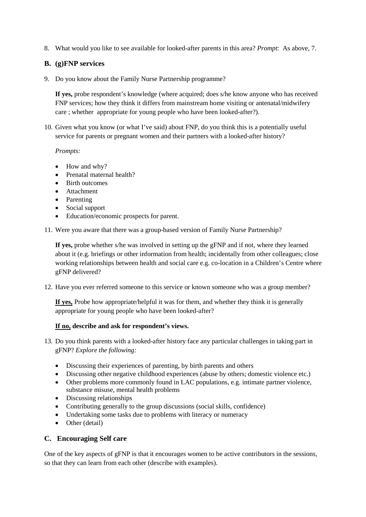8. What would you like to see available for looked-after parents in this area? *Prompt*: As above, 7.

#### **B. (g)FNP services**

9. Do you know about the Family Nurse Partnership programme?

**If yes,** probe respondent's knowledge (where acquired; does s/he know anyone who has received FNP services; how they think it differs from mainstream home visiting or antenatal/midwifery care ; whether appropriate for young people who have been looked-after?).

10. Given what you know (or what I've said) about FNP, do you think this is a potentially useful service for parents or pregnant women and their partners with a looked-after history?

#### *Prompts:*

- How and why?
- Prenatal maternal health?
- Birth outcomes
- Attachment
- Parenting
- Social support
- Education/economic prospects for parent.
- 11. Were you aware that there was a group-based version of Family Nurse Partnership?

**If yes,** probe whether s/he was involved in setting up the gFNP and if not, where they learned about it (e.g. briefings or other information from health; incidentally from other colleagues; close working relationships between health and social care e.g. co-location in a Children's Centre where gFNP delivered?

12. Have you ever referred someone to this service or known someone who was a group member?

**If yes,** Probe how appropriate/helpful it was for them, and whether they think it is generally appropriate for young people who have been looked-after?

#### **If no, describe and ask for respondent's views.**

- 13. Do you think parents with a looked-after history face any particular challenges in taking part in gFNP? *Explore the following:*
	- Discussing their experiences of parenting, by birth parents and others
	- Discussing other negative childhood experiences (abuse by others; domestic violence etc.)
	- Other problems more commonly found in LAC populations, e.g. intimate partner violence, substance misuse, mental health problems
	- Discussing relationships
	- Contributing generally to the group discussions (social skills, confidence)
	- Undertaking some tasks due to problems with literacy or numeracy
	- Other (detail)

#### **C. Encouraging Self care**

One of the key aspects of gFNP is that it encourages women to be active contributors in the sessions, so that they can learn from each other (describe with examples).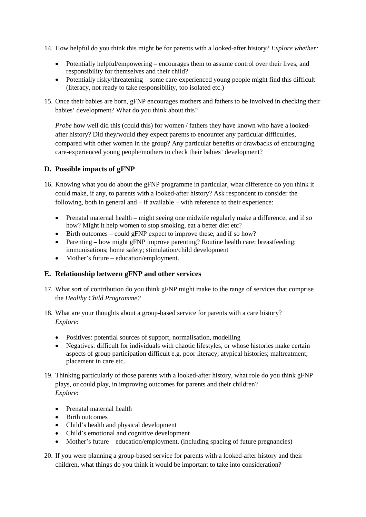- 14. How helpful do you think this might be for parents with a looked-after history? *Explore whether:*
	- Potentially helpful/empowering encourages them to assume control over their lives, and responsibility for themselves and their child?
	- Potentially risky/threatening some care-experienced young people might find this difficult (literacy, not ready to take responsibility, too isolated etc.)
- 15. Once their babies are born, gFNP encourages mothers and fathers to be involved in checking their babies' development? What do you think about this?

*Probe* how well did this (could this) for women / fathers they have known who have a lookedafter history? Did they/would they expect parents to encounter any particular difficulties, compared with other women in the group? Any particular benefits or drawbacks of encouraging care-experienced young people/mothers to check their babies' development?

#### **D. Possible impacts of gFNP**

- 16. Knowing what you do about the gFNP programme in particular, what difference do you think it could make, if any, to parents with a looked-after history? Ask respondent to consider the following, both in general and – if available – with reference to their experience:
	- Prenatal maternal health might seeing one midwife regularly make a difference, and if so how? Might it help women to stop smoking, eat a better diet etc?
	- Birth outcomes could gFNP expect to improve these, and if so how?
	- Parenting how might gFNP improve parenting? Routine health care; breastfeeding; immunisations; home safety; stimulation/child development
	- Mother's future education/employment.

#### **E. Relationship between gFNP and other services**

- 17. What sort of contribution do you think gFNP might make to the range of services that comprise the *Healthy Child Programme?*
- 18. What are your thoughts about a group-based service for parents with a care history? *Explore*:
	- Positives: potential sources of support, normalisation, modelling
	- Negatives: difficult for individuals with chaotic lifestyles, or whose histories make certain aspects of group participation difficult e.g. poor literacy; atypical histories; maltreatment; placement in care etc.
- 19. Thinking particularly of those parents with a looked-after history, what role do you think gFNP plays, or could play, in improving outcomes for parents and their children? *Explore*:
	- Prenatal maternal health
	- Birth outcomes
	- Child's health and physical development
	- Child's emotional and cognitive development
	- Mother's future education/employment. (including spacing of future pregnancies)
- 20. If you were planning a group-based service for parents with a looked-after history and their children, what things do you think it would be important to take into consideration?